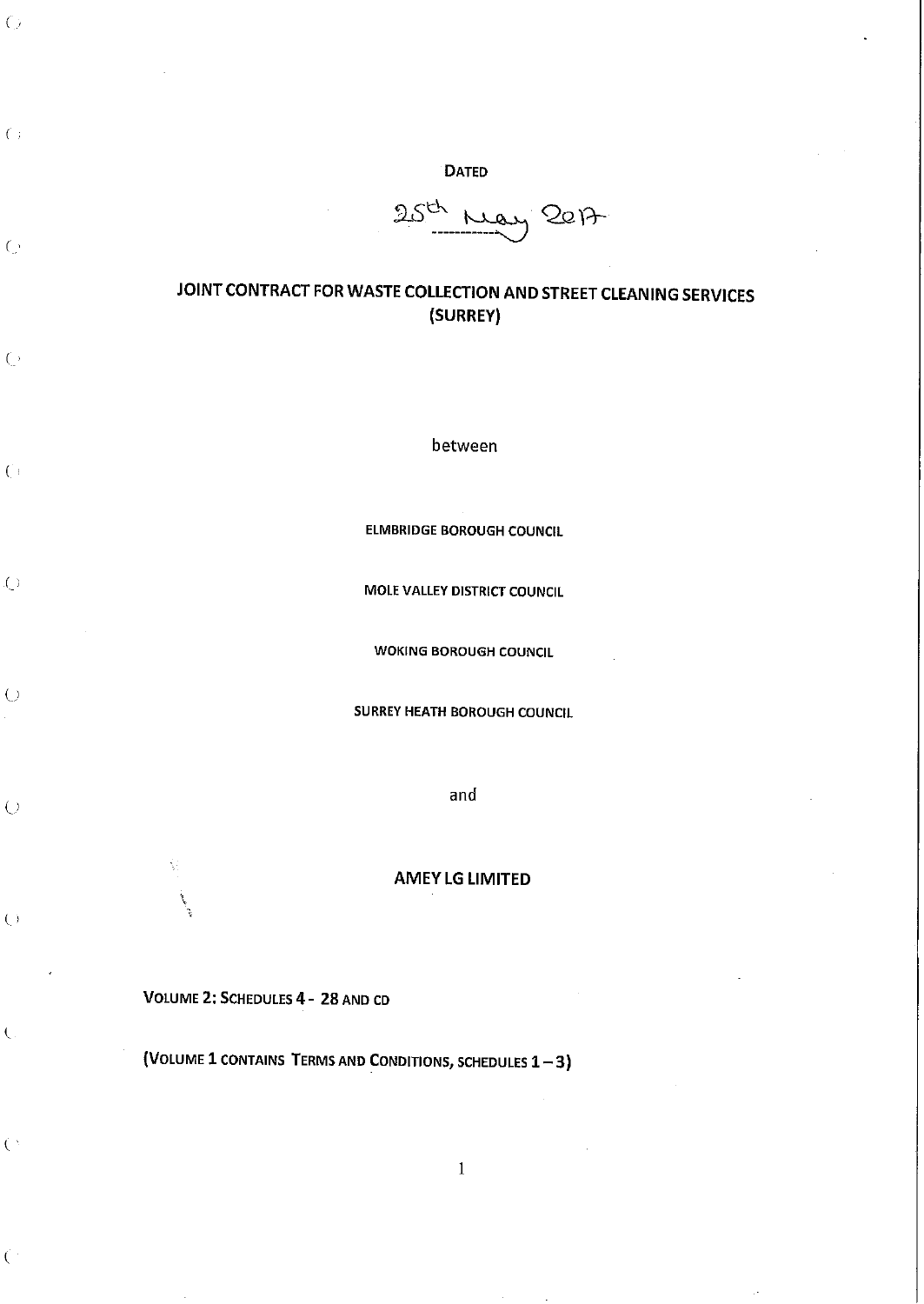25th May 2017

## JOINT CONTRACT FOR WASTE COLLECTION AND STREET CLEANING SERVICES (SURREY)

between

ELMBRIDGE BOROUGH COUNCIL

MOLE VALLEY DISTRICT COUNCIL

WOKING BOROUGH COUNCIL

SURREY HEATH BOROUGH COUNCIL

and

## AMEY LG LIMITED

1

VOLUME 2: SCHEDULES 4- 28 AND CD

' '

*(,* 

 $\left( \cdot \right)$ 

*(* '

 $\bigcirc$ 

 $\left(\right)$ 

 $\zeta$ 

 $\bigcirc$ 

*{.\_)* 

 $\left(\cdot\right)$ 

 $\overline{C}$ 

 $\zeta$ 

 $\left( \begin{array}{c} \lambda \\ \lambda \end{array} \right)$ 

(VOLUME 1 CONTAINS TERMS AND CONDITIONS, SCHEDULES  $1-3$ )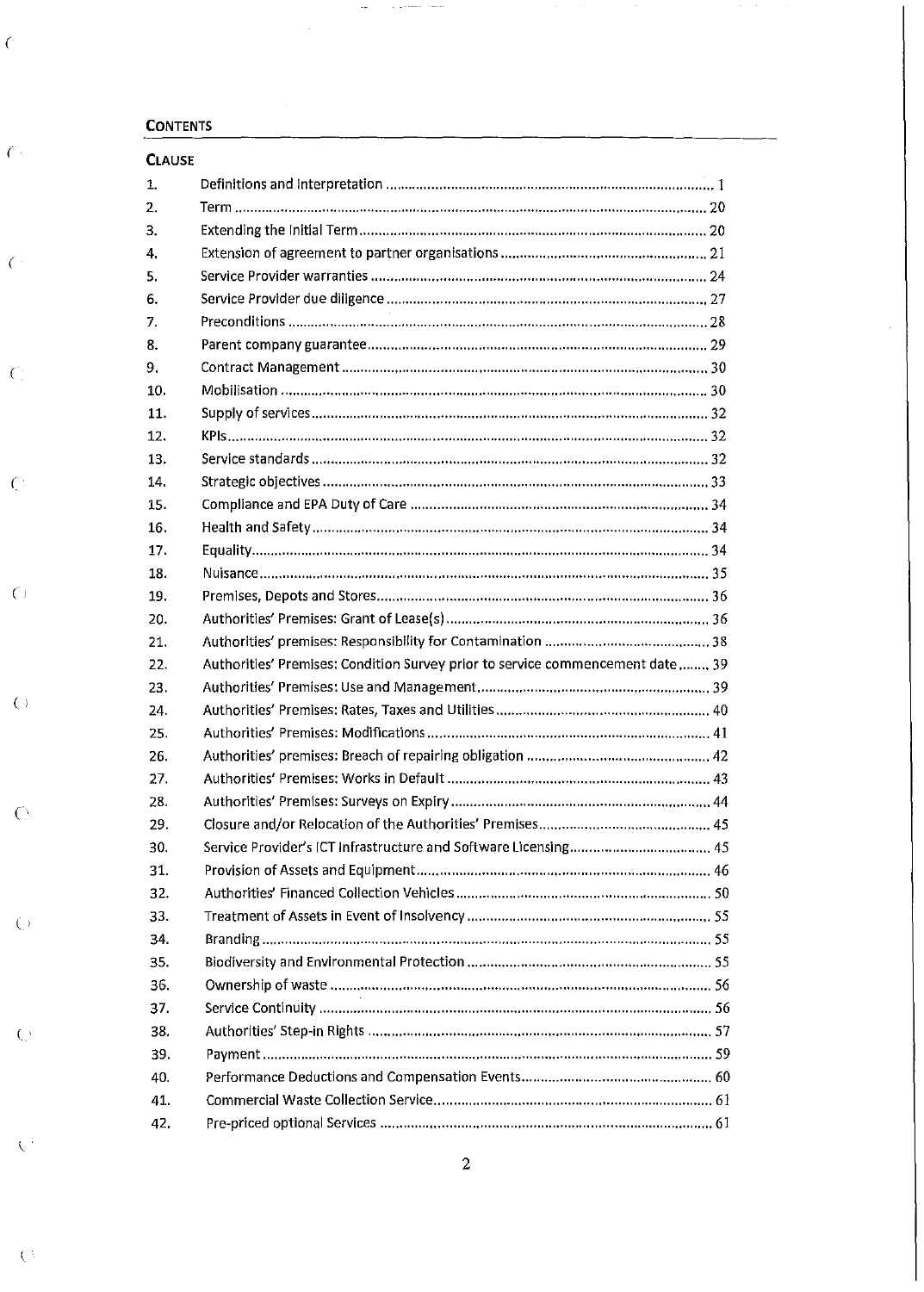## **CONTENTS**

ŕ,

 $\hat{C}$ 

 $\overline{C}$ 

 $\hat{C}^{\pm}$ 

 $\overline{O}$ 

 $\overline{C}$ 

 $\overline{C}$ 

 $\overline{C}$ 

 $\overline{C}$ 

 $\mathcal{N}^{\pm}$ 

 $\mathcal{L}^3$ 

| <b>CLAUSE</b> |                                                                                |  |
|---------------|--------------------------------------------------------------------------------|--|
| 1.            |                                                                                |  |
| 2.            |                                                                                |  |
| 3.            |                                                                                |  |
| 4.            |                                                                                |  |
| 5.            |                                                                                |  |
| 6.            |                                                                                |  |
| 7.            |                                                                                |  |
| 8.            |                                                                                |  |
| 9.            |                                                                                |  |
| 10.           |                                                                                |  |
| 11.           |                                                                                |  |
| 12.           |                                                                                |  |
| 13.           |                                                                                |  |
| 14.           |                                                                                |  |
| 15.           |                                                                                |  |
| 16.           |                                                                                |  |
| 17.           |                                                                                |  |
| 18.           |                                                                                |  |
| 19.           |                                                                                |  |
| 20.           |                                                                                |  |
| 21.           |                                                                                |  |
| 22.           | Authorities' Premises: Condition Survey prior to service commencement date  39 |  |
| 23.           |                                                                                |  |
| 24.           |                                                                                |  |
| 25.           |                                                                                |  |
| 26.           |                                                                                |  |
| 27.           |                                                                                |  |
| 28.           |                                                                                |  |
| 29.           |                                                                                |  |
| 30.           |                                                                                |  |
| 31.           |                                                                                |  |
| 32.           |                                                                                |  |
| 33.           |                                                                                |  |
| 34.           |                                                                                |  |
| 35.           |                                                                                |  |
| 36.           |                                                                                |  |
| 37.           |                                                                                |  |
| 38.           |                                                                                |  |
| 39.           |                                                                                |  |
| 40.           |                                                                                |  |
| 41.           |                                                                                |  |
| 42.           |                                                                                |  |

 $\sim$ 

 $1 - 2 - 1 = 2 - 1 = 1$ 

 $\overline{2}$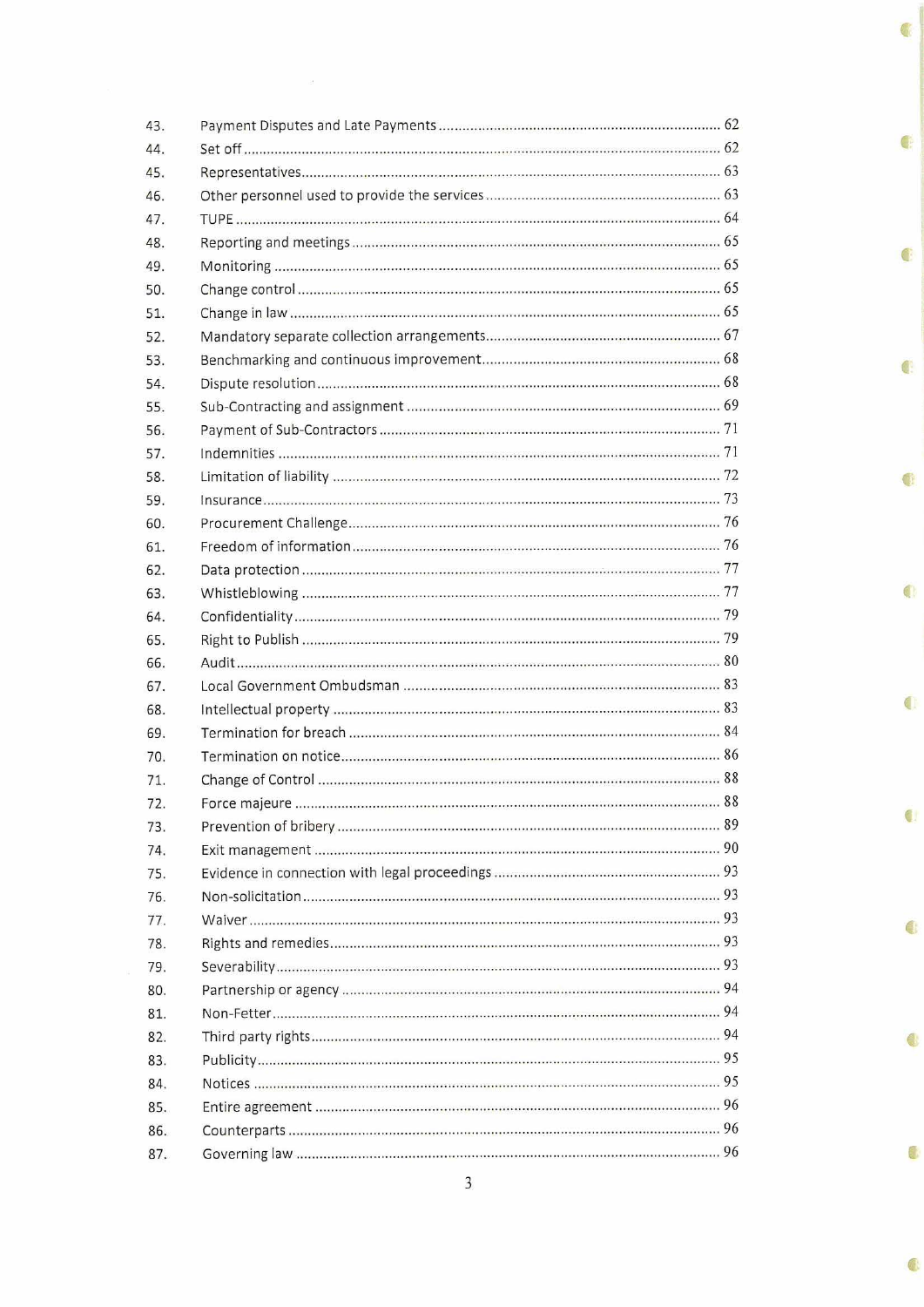| 43. |  |
|-----|--|
| 44. |  |
| 45. |  |
| 46. |  |
| 47. |  |
| 48. |  |
| 49. |  |
| 50. |  |
| 51. |  |
| 52. |  |
| 53. |  |
| 54. |  |
| 55. |  |
| 56. |  |
| 57. |  |
| 58. |  |
| 59. |  |
| 60. |  |
| 61. |  |
| 62. |  |
| 63. |  |
| 64. |  |
| 65. |  |
| 66. |  |
| 67. |  |
| 68. |  |
| 69. |  |
| 70. |  |
| 71. |  |
| 72. |  |
| 73. |  |
| 74. |  |
| 75. |  |
| 76. |  |
| 77. |  |
| 78. |  |
| 79. |  |
| 80. |  |
| 81. |  |
| 82. |  |
| 83. |  |
| 84. |  |
| 85. |  |
| 86. |  |
| 87. |  |

¢

C

¢

€

 $\bullet$ 

¢

Ò

¢

 $\bigoplus$ 

 $\ddot{\bullet}$ 

¢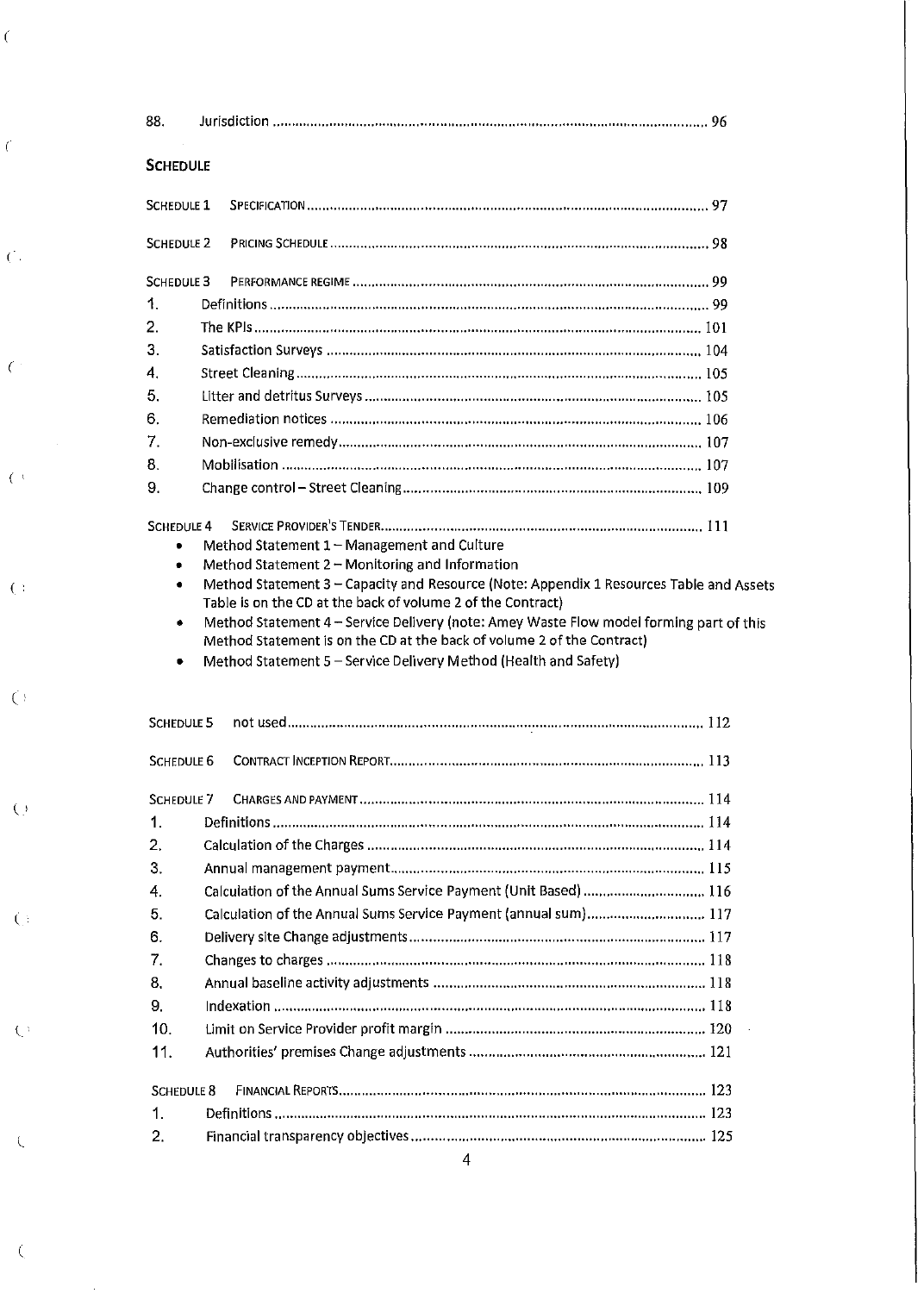| 88.               |                                                                                                                                                                                                                                                                                                      |  |
|-------------------|------------------------------------------------------------------------------------------------------------------------------------------------------------------------------------------------------------------------------------------------------------------------------------------------------|--|
| <b>SCHEDULE</b>   |                                                                                                                                                                                                                                                                                                      |  |
| <b>SCHEDULE 1</b> |                                                                                                                                                                                                                                                                                                      |  |
| <b>SCHEDULE 2</b> |                                                                                                                                                                                                                                                                                                      |  |
| SCHEDULE 3        |                                                                                                                                                                                                                                                                                                      |  |
| 1.                |                                                                                                                                                                                                                                                                                                      |  |
| $\overline{2}$ .  |                                                                                                                                                                                                                                                                                                      |  |
| 3.                |                                                                                                                                                                                                                                                                                                      |  |
| 4.                |                                                                                                                                                                                                                                                                                                      |  |
| 5.                |                                                                                                                                                                                                                                                                                                      |  |
| 6.                |                                                                                                                                                                                                                                                                                                      |  |
| 7.                |                                                                                                                                                                                                                                                                                                      |  |
| 8.                |                                                                                                                                                                                                                                                                                                      |  |
| 9.                |                                                                                                                                                                                                                                                                                                      |  |
| ٠                 | Method Statement 3 - Capacity and Resource (Note: Appendix 1 Resources Table and Assets                                                                                                                                                                                                              |  |
| ۰<br>٠            | Table is on the CD at the back of volume 2 of the Contract)<br>Method Statement 4 - Service Delivery (note: Amey Waste Flow model forming part of this<br>Method Statement is on the CD at the back of volume 2 of the Contract)<br>Method Statement 5 - Service Delivery Method (Health and Safety) |  |
| <b>SCHEDULE 5</b> |                                                                                                                                                                                                                                                                                                      |  |
| <b>SCHEDULE 6</b> |                                                                                                                                                                                                                                                                                                      |  |
| <b>SCHEDULE 7</b> |                                                                                                                                                                                                                                                                                                      |  |
| 1.                |                                                                                                                                                                                                                                                                                                      |  |
| 2.                |                                                                                                                                                                                                                                                                                                      |  |
| 3.                |                                                                                                                                                                                                                                                                                                      |  |
| 4.                | Calculation of the Annual Sums Service Payment (Unit Based)  116                                                                                                                                                                                                                                     |  |
| 5.                | Calculation of the Annual Sums Service Payment (annual sum) 117                                                                                                                                                                                                                                      |  |
| 6.                |                                                                                                                                                                                                                                                                                                      |  |
| 7.                |                                                                                                                                                                                                                                                                                                      |  |
| 8.                |                                                                                                                                                                                                                                                                                                      |  |
| 9.                |                                                                                                                                                                                                                                                                                                      |  |
| 10.               |                                                                                                                                                                                                                                                                                                      |  |
| 11.               |                                                                                                                                                                                                                                                                                                      |  |
| <b>SCHEDULE 8</b> |                                                                                                                                                                                                                                                                                                      |  |
| 1.                |                                                                                                                                                                                                                                                                                                      |  |

 $\hat{C}$ 

 $\overline{\mathcal{C}}$ 

 $(\cdot)$ 

 $\overline{(\cdot)}$ 

 $\overline{\mathcal{C}}$  :

 $\overline{O}$ 

 $\hat{\mathbf{C}}^{\dagger}$ 

 $\overline{\mathbb{C}}$ 

 $\overline{\mathbf{C}}$ 

 $\big($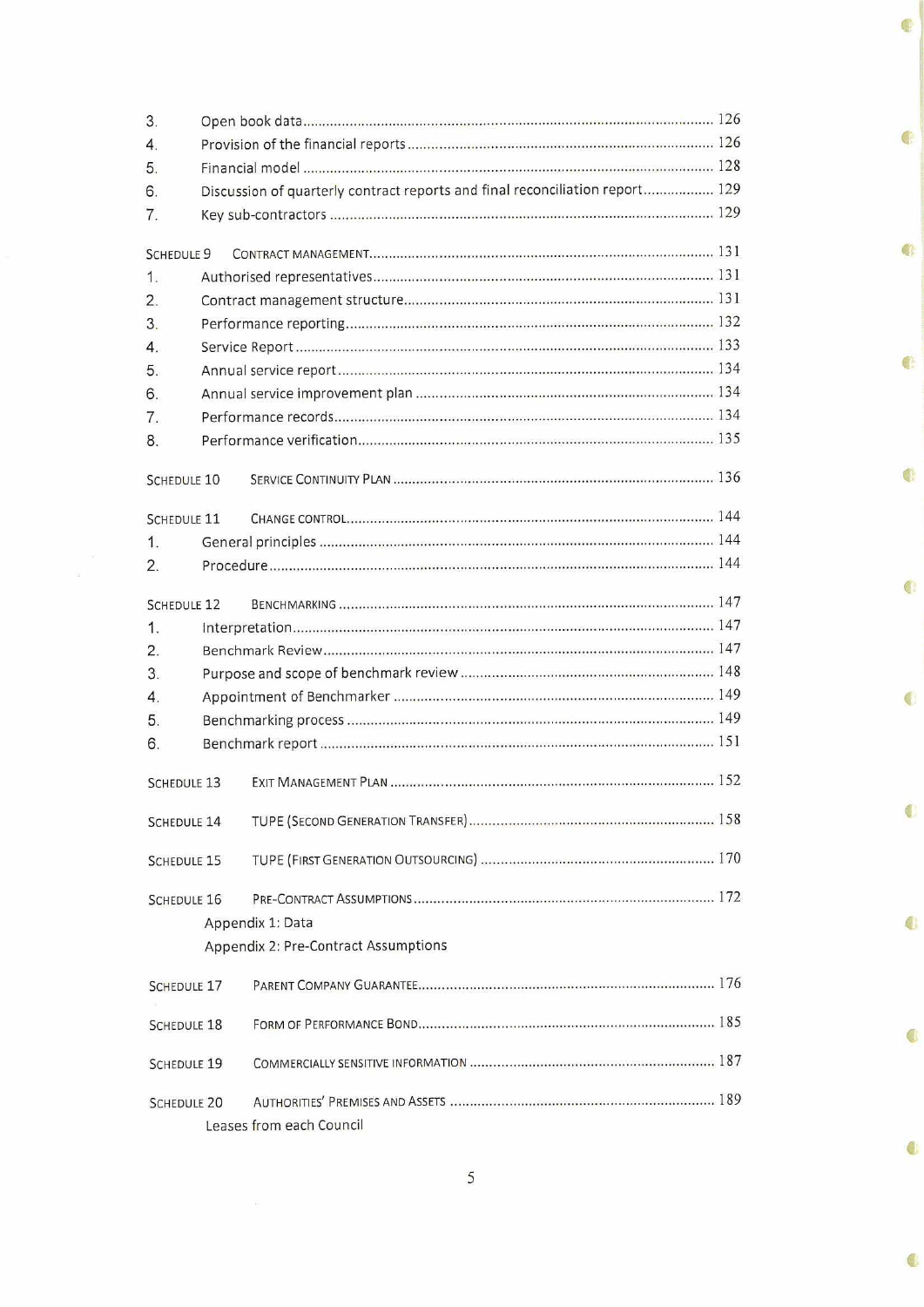| 3.                 |                                                                              |                                      |  |  |  |  |
|--------------------|------------------------------------------------------------------------------|--------------------------------------|--|--|--|--|
| $\overline{4}$ .   |                                                                              |                                      |  |  |  |  |
| 5.                 |                                                                              |                                      |  |  |  |  |
| 6.                 | Discussion of quarterly contract reports and final reconciliation report 129 |                                      |  |  |  |  |
| 7.                 |                                                                              |                                      |  |  |  |  |
|                    |                                                                              |                                      |  |  |  |  |
| SCHEDULE 9         |                                                                              |                                      |  |  |  |  |
| 1.                 |                                                                              |                                      |  |  |  |  |
| 2.                 |                                                                              |                                      |  |  |  |  |
| 3.                 |                                                                              |                                      |  |  |  |  |
| $\overline{4}$ .   |                                                                              |                                      |  |  |  |  |
| 5.                 |                                                                              |                                      |  |  |  |  |
| 6.                 |                                                                              |                                      |  |  |  |  |
| 7.                 |                                                                              |                                      |  |  |  |  |
| 8.                 |                                                                              |                                      |  |  |  |  |
|                    |                                                                              |                                      |  |  |  |  |
| <b>SCHEDULE 10</b> |                                                                              |                                      |  |  |  |  |
| <b>SCHEDULE 11</b> |                                                                              |                                      |  |  |  |  |
| 1.                 |                                                                              |                                      |  |  |  |  |
| 2.                 |                                                                              |                                      |  |  |  |  |
|                    |                                                                              |                                      |  |  |  |  |
| <b>SCHEDULE 12</b> |                                                                              |                                      |  |  |  |  |
| 1.                 |                                                                              |                                      |  |  |  |  |
| 2.                 |                                                                              |                                      |  |  |  |  |
| 3.                 |                                                                              |                                      |  |  |  |  |
| $\overline{4}$ .   |                                                                              |                                      |  |  |  |  |
| 5.                 |                                                                              |                                      |  |  |  |  |
| 6.                 |                                                                              |                                      |  |  |  |  |
|                    |                                                                              |                                      |  |  |  |  |
| <b>SCHEDULE 13</b> |                                                                              |                                      |  |  |  |  |
| SCHEDULE 14        |                                                                              |                                      |  |  |  |  |
|                    |                                                                              |                                      |  |  |  |  |
| <b>SCHEDULE 15</b> |                                                                              |                                      |  |  |  |  |
|                    |                                                                              |                                      |  |  |  |  |
| <b>SCHEDULE 16</b> |                                                                              |                                      |  |  |  |  |
|                    |                                                                              | Appendix 1: Data                     |  |  |  |  |
|                    |                                                                              | Appendix 2: Pre-Contract Assumptions |  |  |  |  |
|                    |                                                                              |                                      |  |  |  |  |
| <b>SCHEDULE 17</b> |                                                                              |                                      |  |  |  |  |
| <b>SCHEDULE 18</b> |                                                                              |                                      |  |  |  |  |
|                    |                                                                              |                                      |  |  |  |  |
| <b>SCHEDULE 19</b> |                                                                              |                                      |  |  |  |  |
| <b>SCHEDULE 20</b> |                                                                              |                                      |  |  |  |  |
|                    |                                                                              |                                      |  |  |  |  |
|                    | Leases from each Council                                                     |                                      |  |  |  |  |

Ç

¢

 $\mathbb{C}$ 

 $\bigoplus$ 

Ċ

 $\mathbf{C}$ 

 $\bigcirc$ 

 $\bigcirc$ 

 $\bullet$ 

 $\overline{\mathbf{5}}$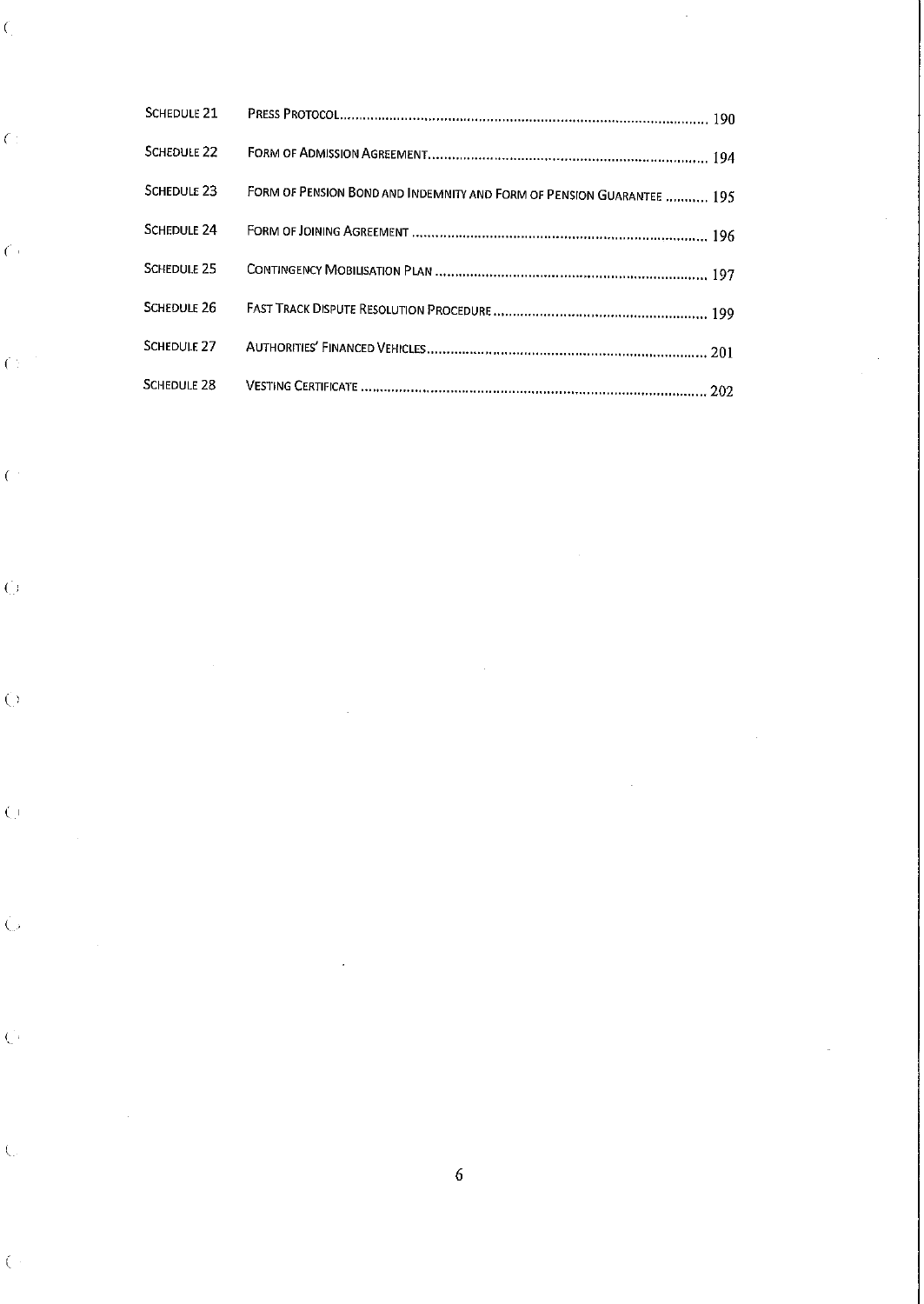| <b>SCHEDULE 21</b>     |                                                                       |
|------------------------|-----------------------------------------------------------------------|
| SCHEDULE <sub>22</sub> |                                                                       |
| SCHEDULE <sub>23</sub> | FORM OF PENSION BOND AND INDEMNITY AND FORM OF PENSION GUARANTEE  195 |
| SCHEDULE 24            |                                                                       |
| SCHEDULE 25            |                                                                       |
| SCHEDUIF <sub>26</sub> |                                                                       |
| SCHEDULE <sub>27</sub> |                                                                       |
| SCHEDULE 28            |                                                                       |

 $\label{eq:2.1} \frac{1}{\sqrt{2}}\int_{\mathbb{R}^3}\frac{1}{\sqrt{2}}\left(\frac{1}{\sqrt{2}}\right)^2\frac{1}{\sqrt{2}}\left(\frac{1}{\sqrt{2}}\right)^2\frac{1}{\sqrt{2}}\left(\frac{1}{\sqrt{2}}\right)^2\frac{1}{\sqrt{2}}\left(\frac{1}{\sqrt{2}}\right)^2.$ 

 $\sim$ 

6

*(* 

 $\overline{C}$  :

 $\hat{\zeta}$ 

*(* 

 $\overline{C}$ 

 $\hat{C}$ 

 $\overline{C}$ 

 $\hat{\mathbf{C}}$ 

 $\hat{C}$ 

 $\hat{\mathcal{A}}$ 

 $\sim$ 

 $\hat{C}^{\dagger}$ 

 $\hat{C}$ 

 $\overline{\zeta}$